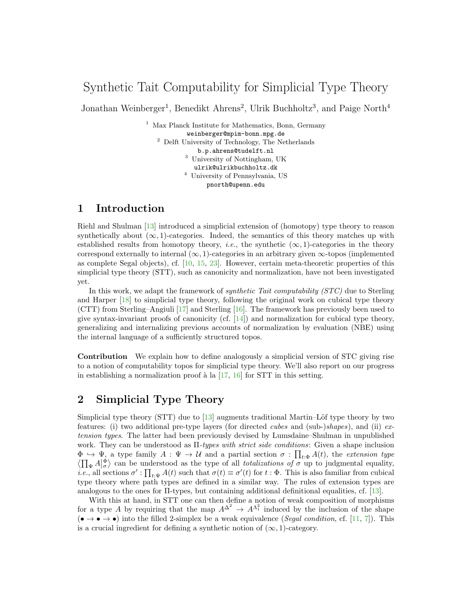# Synthetic Tait Computability for Simplicial Type Theory

Jonathan Weinberger<sup>1</sup>, Benedikt Ahrens<sup>2</sup>, Ulrik Buchholtz<sup>3</sup>, and Paige North<sup>4</sup>

<sup>1</sup> Max Planck Institute for Mathematics, Bonn, Germany weinberger@mpim-bonn.mpg.de  $^{\rm 2}$  Delft University of Technology, The Netherlands b.p.ahrens@tudelft.nl <sup>3</sup> University of Nottingham, UK ulrik@ulrikbuchholtz.dk <sup>4</sup> University of Pennsylvania, US pnorth@upenn.edu

### 1 Introduction

Riehl and Shulman [\[13\]](#page-2-0) introduced a simplicial extension of (homotopy) type theory to reason synthetically about  $(\infty, 1)$ -categories. Indeed, the semantics of this theory matches up with established results from homotopy theory, *i.e.*, the synthetic  $(\infty, 1)$ -categories in the theory correspond externally to internal  $(\infty, 1)$ -categories in an arbitrary given  $\infty$ -topos (implemented as complete Segal objects), cf. [\[10,](#page-2-1) [15,](#page-2-2) [23\]](#page-3-0). However, certain meta-theoretic properties of this simplicial type theory (STT), such as canonicity and normalization, have not been investigated yet.

In this work, we adapt the framework of synthetic Tait computability (STC) due to Sterling and Harper [\[18\]](#page-3-1) to simplicial type theory, following the original work on cubical type theory (CTT) from Sterling–Angiuli [\[17\]](#page-2-3) and Sterling [\[16\]](#page-2-4). The framework has previously been used to give syntax-invariant proofs of canonicity (cf. [\[14\]](#page-2-5)) and normalization for cubical type theory, generalizing and internalizing previous accounts of normalization by evaluation (NBE) using the internal language of a sufficiently structured topos.

Contribution We explain how to define analogously a simplicial version of STC giving rise to a notion of computability topos for simplicial type theory. We'll also report on our progress in establishing a normalization proof à la  $[17, 16]$  $[17, 16]$  $[17, 16]$  for STT in this setting.

## 2 Simplicial Type Theory

Simplicial type theory (STT) due to  $[13]$  augments traditional Martin–Löf type theory by two features: (i) two additional pre-type layers (for directed cubes and (sub-)shapes), and (ii)  $ex$ tension types. The latter had been previously devised by Lumsdaine–Shulman in unpublished work. They can be understood as  $\Pi$ -types with strict side conditions: Given a shape inclusion  $\Phi \hookrightarrow \Psi$ , a type family  $A: \Psi \to \mathcal{U}$  and a partial section  $\sigma: \prod_{t:\Phi} A(t)$ , the extension type  $\langle \prod_{\Psi} A |_{\sigma}^{\Phi} \rangle$  can be understood as the type of all *totalizations of*  $\sigma$  up to judgmental equality, *i.e.*, all sections  $\sigma' : \prod_{t \in \Psi} A(t)$  such that  $\sigma(t) \equiv \sigma'(t)$  for  $t : \Phi$ . This is also familiar from cubical type theory where path types are defined in a similar way. The rules of extension types are analogous to the ones for Π-types, but containing additional definitional equalities, cf. [\[13\]](#page-2-0).

With this at hand, in STT one can then define a notion of weak composition of morphisms for a type A by requiring that the map  $A^{\Delta^2} \to A^{\Lambda_1^2}$  induced by the inclusion of the shape  $(\bullet \rightarrow \bullet \rightarrow \bullet)$  into the filled 2-simplex be a weak equivalence (Segal condition, cf. [\[11,](#page-2-6) [7\]](#page-2-7)). This is a crucial ingredient for defining a synthetic notion of  $(\infty, 1)$ -category.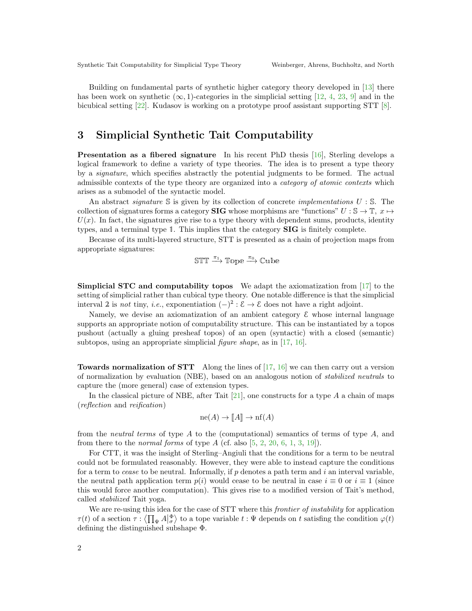Building on fundamental parts of synthetic higher category theory developed in [\[13\]](#page-2-0) there has been work on synthetic  $(\infty, 1)$ -categories in the simplicial setting [\[12,](#page-2-8) [4,](#page-2-9) [23,](#page-3-0) [9\]](#page-2-10) and in the bicubical setting [\[22\]](#page-3-2). Kudasov is working on a prototype proof assistant supporting STT [\[8\]](#page-2-11).

### 3 Simplicial Synthetic Tait Computability

Presentation as a fibered signature In his recent PhD thesis [\[16\]](#page-2-4), Sterling develops a logical framework to define a variety of type theories. The idea is to present a type theory by a signature, which specifies abstractly the potential judgments to be formed. The actual admissible contexts of the type theory are organized into a category of atomic contexts which arises as a submodel of the syntactic model.

An abstract *signature*  $S$  is given by its collection of concrete *implementations*  $U : S$ . The collection of signatures forms a category **SIG** whose morphisms are "functions"  $U : \mathbb{S} \to \mathbb{T}$ ,  $x \mapsto$  $U(x)$ . In fact, the signatures give rise to a type theory with dependent sums, products, identity types, and a terminal type 1. This implies that the category SIG is finitely complete.

Because of its multi-layered structure, STT is presented as a chain of projection maps from appropriate signatures:

$$
\mathbb{STT} \xrightarrow{\pi_1} \mathbb{T}^{\text{op}} \to \xrightarrow{\pi_0} \mathbb{C}^{\text{ul}}
$$

Simplicial STC and computability topos We adapt the axiomatization from [\[17\]](#page-2-3) to the setting of simplicial rather than cubical type theory. One notable difference is that the simplicial interval 2 is *not* tiny, *i.e.*, exponentiation  $(-)^2$ :  $\mathcal{E} \to \mathcal{E}$  does not have a right adjoint.

Namely, we devise an axiomatization of an ambient category  $\mathcal E$  whose internal language supports an appropriate notion of computability structure. This can be instantiated by a topos pushout (actually a gluing presheaf topos) of an open (syntactic) with a closed (semantic) subtopos, using an appropriate simplicial *figure shape*, as in [\[17,](#page-2-3) [16\]](#page-2-4).

**Towards normalization of STT** Along the lines of  $[17, 16]$  $[17, 16]$  $[17, 16]$  we can then carry out a version of normalization by evaluation (NBE), based on an analogous notion of stabilized neutrals to capture the (more general) case of extension types.

In the classical picture of NBE, after Tait  $[21]$ , one constructs for a type A a chain of maps (reflection and reification)

$$
ne(A) \to [A] \to nf(A)
$$

from the neutral terms of type A to the (computational) semantics of terms of type A, and from there to the *normal forms* of type A (cf. also  $[5, 2, 20, 6, 1, 3, 19]$  $[5, 2, 20, 6, 1, 3, 19]$  $[5, 2, 20, 6, 1, 3, 19]$  $[5, 2, 20, 6, 1, 3, 19]$  $[5, 2, 20, 6, 1, 3, 19]$  $[5, 2, 20, 6, 1, 3, 19]$  $[5, 2, 20, 6, 1, 3, 19]$  $[5, 2, 20, 6, 1, 3, 19]$  $[5, 2, 20, 6, 1, 3, 19]$  $[5, 2, 20, 6, 1, 3, 19]$  $[5, 2, 20, 6, 1, 3, 19]$  $[5, 2, 20, 6, 1, 3, 19]$  $[5, 2, 20, 6, 1, 3, 19]$ ).

For CTT, it was the insight of Sterling–Angiuli that the conditions for a term to be neutral could not be formulated reasonably. However, they were able to instead capture the conditions for a term to cease to be neutral. Informally, if  $p$  denotes a path term and i an interval variable, the neutral path application term  $p(i)$  would cease to be neutral in case  $i \equiv 0$  or  $i \equiv 1$  (since this would force another computation). This gives rise to a modified version of Tait's method, called stabilized Tait yoga.

We are re-using this idea for the case of STT where this *frontier of instability* for application  $\tau(t)$  of a section  $\tau: \langle \prod_{\Psi} A | \frac{\Phi}{\sigma} \rangle$  to a tope variable  $t: \Psi$  depends on t satisfing the condition  $\varphi(t)$ defining the distinguished subshape Φ.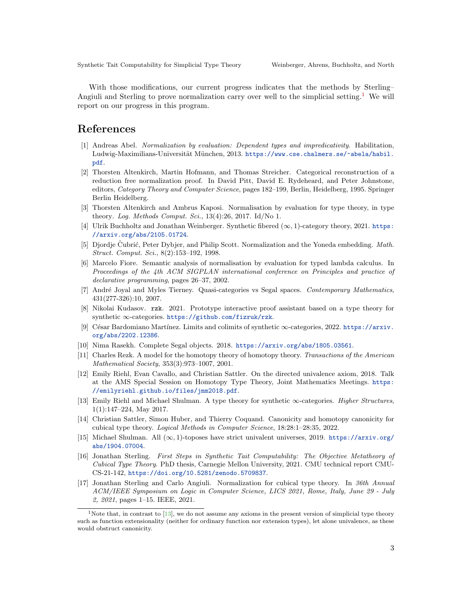With those modifications, our current progress indicates that the methods by Sterling– Angiuli and Sterling to prove normalization carry over well to the simplicial setting.<sup>[1](#page-2-17)</sup> We will report on our progress in this program.

#### References

- <span id="page-2-15"></span>[1] Andreas Abel. Normalization by evaluation: Dependent types and impredicativity. Habilitation, Ludwig-Maximilians-Universität München, 2013. [https://www.cse.chalmers.se/~abela/habil.](https://www.cse.chalmers.se/~abela/habil.pdf) [pdf](https://www.cse.chalmers.se/~abela/habil.pdf).
- <span id="page-2-13"></span>[2] Thorsten Altenkirch, Martin Hofmann, and Thomas Streicher. Categorical reconstruction of a reduction free normalization proof. In David Pitt, David E. Rydeheard, and Peter Johnstone, editors, Category Theory and Computer Science, pages 182–199, Berlin, Heidelberg, 1995. Springer Berlin Heidelberg.
- <span id="page-2-16"></span>[3] Thorsten Altenkirch and Ambrus Kaposi. Normalisation by evaluation for type theory, in type theory. Log. Methods Comput. Sci., 13(4):26, 2017. Id/No 1.
- <span id="page-2-9"></span>[4] Ulrik Buchholtz and Jonathan Weinberger. Synthetic fibered  $(\infty, 1)$ -category theory, 2021. [https:](https://arxiv.org/abs/2105.01724) [//arxiv.org/abs/2105.01724](https://arxiv.org/abs/2105.01724).
- <span id="page-2-12"></span>[5] Djordje Cubrić, Peter Dybjer, and Philip Scott. Normalization and the Yoneda embedding. Math. Struct. Comput. Sci., 8(2):153–192, 1998.
- <span id="page-2-14"></span>[6] Marcelo Fiore. Semantic analysis of normalisation by evaluation for typed lambda calculus. In Proceedings of the 4th ACM SIGPLAN international conference on Principles and practice of declarative programming, pages 26–37, 2002.
- <span id="page-2-7"></span>[7] André Joyal and Myles Tierney. Quasi-categories vs Segal spaces. Contemporary Mathematics, 431(277-326):10, 2007.
- <span id="page-2-11"></span>[8] Nikolai Kudasov. rzk. 2021. Prototype interactive proof assistant based on a type theory for synthetic ∞-categories. <https://github.com/fizruk/rzk>.
- <span id="page-2-10"></span>[9] C´esar Bardomiano Mart´ınez. Limits and colimits of synthetic ∞-categories, 2022. [https://arxiv.](https://arxiv.org/abs/2202.12386) [org/abs/2202.12386](https://arxiv.org/abs/2202.12386).
- <span id="page-2-1"></span>[10] Nima Rasekh. Complete Segal objects. 2018. <https://arxiv.org/abs/1805.03561>.
- <span id="page-2-6"></span>[11] Charles Rezk. A model for the homotopy theory of homotopy theory. Transactions of the American Mathematical Society, 353(3):973–1007, 2001.
- <span id="page-2-8"></span>[12] Emily Riehl, Evan Cavallo, and Christian Sattler. On the directed univalence axiom, 2018. Talk at the AMS Special Session on Homotopy Type Theory, Joint Mathematics Meetings. [https:](https://emilyriehl.github.io/files/jmm2018.pdf) [//emilyriehl.github.io/files/jmm2018.pdf](https://emilyriehl.github.io/files/jmm2018.pdf).
- <span id="page-2-0"></span>[13] Emily Riehl and Michael Shulman. A type theory for synthetic ∞-categories. Higher Structures, 1(1):147–224, May 2017.
- <span id="page-2-5"></span>[14] Christian Sattler, Simon Huber, and Thierry Coquand. Canonicity and homotopy canonicity for cubical type theory. Logical Methods in Computer Science, 18:28:1–28:35, 2022.
- <span id="page-2-2"></span>[15] Michael Shulman. All  $(\infty, 1)$ -toposes have strict univalent universes, 2019. [https://arxiv.org/](https://arxiv.org/abs/1904.07004) [abs/1904.07004](https://arxiv.org/abs/1904.07004).
- <span id="page-2-4"></span>[16] Jonathan Sterling. First Steps in Synthetic Tait Computability: The Objective Metatheory of Cubical Type Theory. PhD thesis, Carnegie Mellon University, 2021. CMU technical report CMU-CS-21-142, <https://doi.org/10.5281/zenodo.5709837>.
- <span id="page-2-3"></span>[17] Jonathan Sterling and Carlo Angiuli. Normalization for cubical type theory. In 36th Annual ACM/IEEE Symposium on Logic in Computer Science, LICS 2021, Rome, Italy, June 29 - July 2, 2021, pages 1–15. IEEE, 2021.

<span id="page-2-17"></span><sup>&</sup>lt;sup>1</sup>Note that, in contrast to [\[13\]](#page-2-0), we do not assume any axioms in the present version of simplicial type theory such as function extensionality (neither for ordinary function nor extension types), let alone univalence, as these would obstruct canonicity.